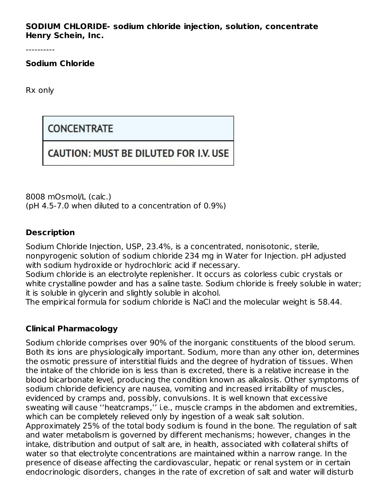**SODIUM CHLORIDE- sodium chloride injection, solution, concentrate Henry Schein, Inc.**

----------

**Sodium Chloride**

Rx only

**CONCENTRATE** 

# **CAUTION: MUST BE DILUTED FOR I.V. USE**

8008 mOsmol/L (calc.) (pH 4.5-7.0 when diluted to a concentration of 0.9%)

## **Description**

Sodium Chloride Injection, USP, 23.4%, is a concentrated, nonisotonic, sterile, nonpyrogenic solution of sodium chloride 234 mg in Water for Injection. pH adjusted with sodium hydroxide or hydrochloric acid if necessary.

Sodium chloride is an electrolyte replenisher. It occurs as colorless cubic crystals or white crystalline powder and has a saline taste. Sodium chloride is freely soluble in water; it is soluble in glycerin and slightly soluble in alcohol.

The empirical formula for sodium chloride is NaCl and the molecular weight is 58.44.

## **Clinical Pharmacology**

Sodium chloride comprises over 90% of the inorganic constituents of the blood serum. Both its ions are physiologically important. Sodium, more than any other ion, determines the osmotic pressure of interstitial fluids and the degree of hydration of tissues. When the intake of the chloride ion is less than is excreted, there is a relative increase in the blood bicarbonate level, producing the condition known as alkalosis. Other symptoms of sodium chloride deficiency are nausea, vomiting and increased irritability of muscles, evidenced by cramps and, possibly, convulsions. It is well known that excessive sweating will cause ''heatcramps,'' i.e., muscle cramps in the abdomen and extremities, which can be completely relieved only by ingestion of a weak salt solution. Approximately 25% of the total body sodium is found in the bone. The regulation of salt and water metabolism is governed by different mechanisms; however, changes in the intake, distribution and output of salt are, in health, associated with collateral shifts of water so that electrolyte concentrations are maintained within a narrow range. In the presence of disease affecting the cardiovascular, hepatic or renal system or in certain endocrinologic disorders, changes in the rate of excretion of salt and water will disturb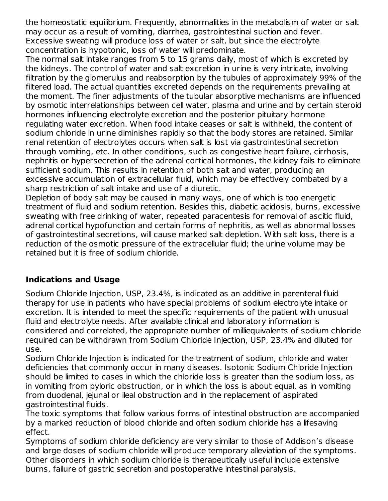the homeostatic equilibrium. Frequently, abnormalities in the metabolism of water or salt may occur as a result of vomiting, diarrhea, gastrointestinal suction and fever. Excessive sweating will produce loss of water or salt, but since the electrolyte concentration is hypotonic, loss of water will predominate.

The normal salt intake ranges from 5 to 15 grams daily, most of which is excreted by the kidneys. The control of water and salt excretion in urine is very intricate, involving filtration by the glomerulus and reabsorption by the tubules of approximately 99% of the filtered load. The actual quantities excreted depends on the requirements prevailing at the moment. The finer adjustments of the tubular absorptive mechanisms are influenced by osmotic interrelationships between cell water, plasma and urine and by certain steroid hormones influencing electrolyte excretion and the posterior pituitary hormone regulating water excretion. When food intake ceases or salt is withheld, the content of sodium chloride in urine diminishes rapidly so that the body stores are retained. Similar renal retention of electrolytes occurs when salt is lost via gastrointestinal secretion through vomiting, etc. In other conditions, such as congestive heart failure, cirrhosis, nephritis or hypersecretion of the adrenal cortical hormones, the kidney fails to eliminate sufficient sodium. This results in retention of both salt and water, producing an excessive accumulation of extracellular fluid, which may be effectively combated by a sharp restriction of salt intake and use of a diuretic.

Depletion of body salt may be caused in many ways, one of which is too energetic treatment of fluid and sodium retention. Besides this, diabetic acidosis, burns, excessive sweating with free drinking of water, repeated paracentesis for removal of ascitic fluid, adrenal cortical hypofunction and certain forms of nephritis, as well as abnormal losses of gastrointestinal secretions, will cause marked salt depletion. With salt loss, there is a reduction of the osmotic pressure of the extracellular fluid; the urine volume may be retained but it is free of sodium chloride.

# **Indications and Usage**

Sodium Chloride Injection, USP, 23.4%, is indicated as an additive in parenteral fluid therapy for use in patients who have special problems of sodium electrolyte intake or excretion. It is intended to meet the specific requirements of the patient with unusual fluid and electrolyte needs. After available clinical and laboratory information is considered and correlated, the appropriate number of milliequivalents of sodium chloride required can be withdrawn from Sodium Chloride Injection, USP, 23.4% and diluted for use.

Sodium Chloride Injection is indicated for the treatment of sodium, chloride and water deficiencies that commonly occur in many diseases. Isotonic Sodium Chloride Injection should be limited to cases in which the chloride loss is greater than the sodium loss, as in vomiting from pyloric obstruction, or in which the loss is about equal, as in vomiting from duodenal, jejunal or ileal obstruction and in the replacement of aspirated gastrointestinal fluids.

The toxic symptoms that follow various forms of intestinal obstruction are accompanied by a marked reduction of blood chloride and often sodium chloride has a lifesaving effect.

Symptoms of sodium chloride deficiency are very similar to those of Addison's disease and large doses of sodium chloride will produce temporary alleviation of the symptoms. Other disorders in which sodium chloride is therapeutically useful include extensive burns, failure of gastric secretion and postoperative intestinal paralysis.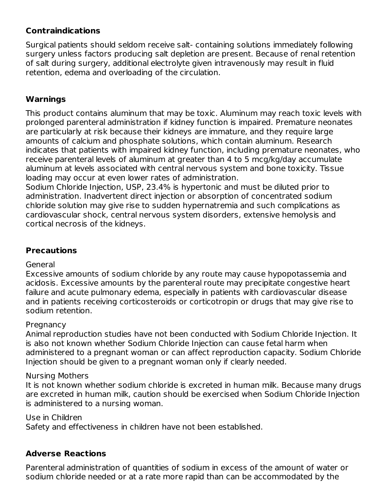# **Contraindications**

Surgical patients should seldom receive salt- containing solutions immediately following surgery unless factors producing salt depletion are present. Because of renal retention of salt during surgery, additional electrolyte given intravenously may result in fluid retention, edema and overloading of the circulation.

## **Warnings**

This product contains aluminum that may be toxic. Aluminum may reach toxic levels with prolonged parenteral administration if kidney function is impaired. Premature neonates are particularly at risk because their kidneys are immature, and they require large amounts of calcium and phosphate solutions, which contain aluminum. Research indicates that patients with impaired kidney function, including premature neonates, who receive parenteral levels of aluminum at greater than 4 to 5 mcg/kg/day accumulate aluminum at levels associated with central nervous system and bone toxicity. Tissue loading may occur at even lower rates of administration.

Sodium Chloride Injection, USP, 23.4% is hypertonic and must be diluted prior to administration. Inadvertent direct injection or absorption of concentrated sodium chloride solution may give rise to sudden hypernatremia and such complications as cardiovascular shock, central nervous system disorders, extensive hemolysis and cortical necrosis of the kidneys.

# **Precautions**

#### General

Excessive amounts of sodium chloride by any route may cause hypopotassemia and acidosis. Excessive amounts by the parenteral route may precipitate congestive heart failure and acute pulmonary edema, especially in patients with cardiovascular disease and in patients receiving corticosteroids or corticotropin or drugs that may give rise to sodium retention.

#### **Pregnancy**

Animal reproduction studies have not been conducted with Sodium Chloride Injection. It is also not known whether Sodium Chloride Injection can cause fetal harm when administered to a pregnant woman or can affect reproduction capacity. Sodium Chloride Injection should be given to a pregnant woman only if clearly needed.

#### Nursing Mothers

It is not known whether sodium chloride is excreted in human milk. Because many drugs are excreted in human milk, caution should be exercised when Sodium Chloride Injection is administered to a nursing woman.

#### Use in Children

Safety and effectiveness in children have not been established.

# **Adverse Reactions**

Parenteral administration of quantities of sodium in excess of the amount of water or sodium chloride needed or at a rate more rapid than can be accommodated by the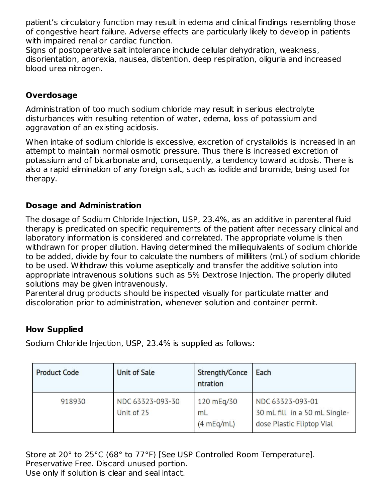patient's circulatory function may result in edema and clinical findings resembling those of congestive heart failure. Adverse effects are particularly likely to develop in patients with impaired renal or cardiac function.

Signs of postoperative salt intolerance include cellular dehydration, weakness, disorientation, anorexia, nausea, distention, deep respiration, oliguria and increased blood urea nitrogen.

# **Overdosage**

Administration of too much sodium chloride may result in serious electrolyte disturbances with resulting retention of water, edema, loss of potassium and aggravation of an existing acidosis.

When intake of sodium chloride is excessive, excretion of crystalloids is increased in an attempt to maintain normal osmotic pressure. Thus there is increased excretion of potassium and of bicarbonate and, consequently, a tendency toward acidosis. There is also a rapid elimination of any foreign salt, such as iodide and bromide, being used for therapy.

## **Dosage and Administration**

The dosage of Sodium Chloride Injection, USP, 23.4%, as an additive in parenteral fluid therapy is predicated on specific requirements of the patient after necessary clinical and laboratory information is considered and correlated. The appropriate volume is then withdrawn for proper dilution. Having determined the milliequivalents of sodium chloride to be added, divide by four to calculate the numbers of milliliters (mL) of sodium chloride to be used. Withdraw this volume aseptically and transfer the additive solution into appropriate intravenous solutions such as 5% Dextrose Injection. The properly diluted solutions may be given intravenously.

Parenteral drug products should be inspected visually for particulate matter and discoloration prior to administration, whenever solution and container permit.

## **How Supplied**

Sodium Chloride Injection, USP, 23.4% is supplied as follows:

| <b>Product Code</b> | <b>Unit of Sale</b>            | Strength/Conce<br>ntration     | Each                                                                           |
|---------------------|--------------------------------|--------------------------------|--------------------------------------------------------------------------------|
| 918930              | NDC 63323-093-30<br>Unit of 25 | 120 mEg/30<br>mL<br>(4 mEq/mL) | NDC 63323-093-01<br>30 mL fill in a 50 mL Single-<br>dose Plastic Fliptop Vial |

Store at 20° to 25°C (68° to 77°F) [See USP Controlled Room Temperature]. Preservative Free. Discard unused portion. Use only if solution is clear and seal intact.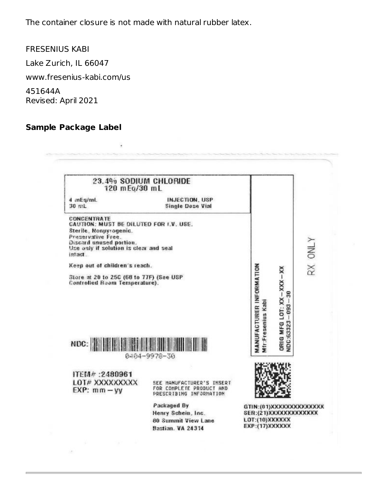The container closure is not made with natural rubber latex.

 $\cdot$ 

FRESENIUS KABI

Lake Zurich, IL 66047

www.fresenius-kabi.com/us

451644A Revised: April 2021

# **Sample Package Label**

 $\alpha$ 

| 23.4% SODIUM CHLORIDE<br>120 mEq/30 mL                                                                                                                                                                                                                                                                            |                                                                                  |                                                  |                                             |                |
|-------------------------------------------------------------------------------------------------------------------------------------------------------------------------------------------------------------------------------------------------------------------------------------------------------------------|----------------------------------------------------------------------------------|--------------------------------------------------|---------------------------------------------|----------------|
| 4 mEg/mL<br>30 mL                                                                                                                                                                                                                                                                                                 | <b>INJECTION, USP</b><br><b>Single Dose Vial</b>                                 |                                                  |                                             |                |
| <b>CONCENTRATE</b><br>CAUTION: MUST BE DILUTED FOR I.V. USE.<br>Sterile, Nonuvrogenic.<br>Preservative Free.<br>Discard unused portion.<br>Use only if solution is clear and seal<br>intact.<br>Keep out of children's reach.<br>Store at 20 to 25C (68 to 77F) (See USP<br>Controlled Room Temperature).<br>NDC: |                                                                                  | MANUFACTURER INFORMATION<br>Mfr:Fresenius Kabi   | ORIG MFG LOT: XX-XXX-XX<br>NDC:63323-093-30 | <b>RX ONLY</b> |
|                                                                                                                                                                                                                                                                                                                   | 0404-9978-30                                                                     |                                                  |                                             |                |
| ITEM#:2480961                                                                                                                                                                                                                                                                                                     |                                                                                  |                                                  |                                             |                |
| LOT# XXXXXXXXX                                                                                                                                                                                                                                                                                                    | SEE MANUFACTURER'S INSERT<br>FOR COMPLETE PRODUCT AND<br>PRESCRIBING INFORMATION |                                                  |                                             |                |
| $EXP:$ $mm - vy$                                                                                                                                                                                                                                                                                                  |                                                                                  |                                                  |                                             |                |
|                                                                                                                                                                                                                                                                                                                   | Packaged By<br>Henry Schein, Inc.                                                | GTIN:(01)XXXXXXXXXXXXXX<br>SER:(21)XXXXXXXXXXXXX |                                             |                |